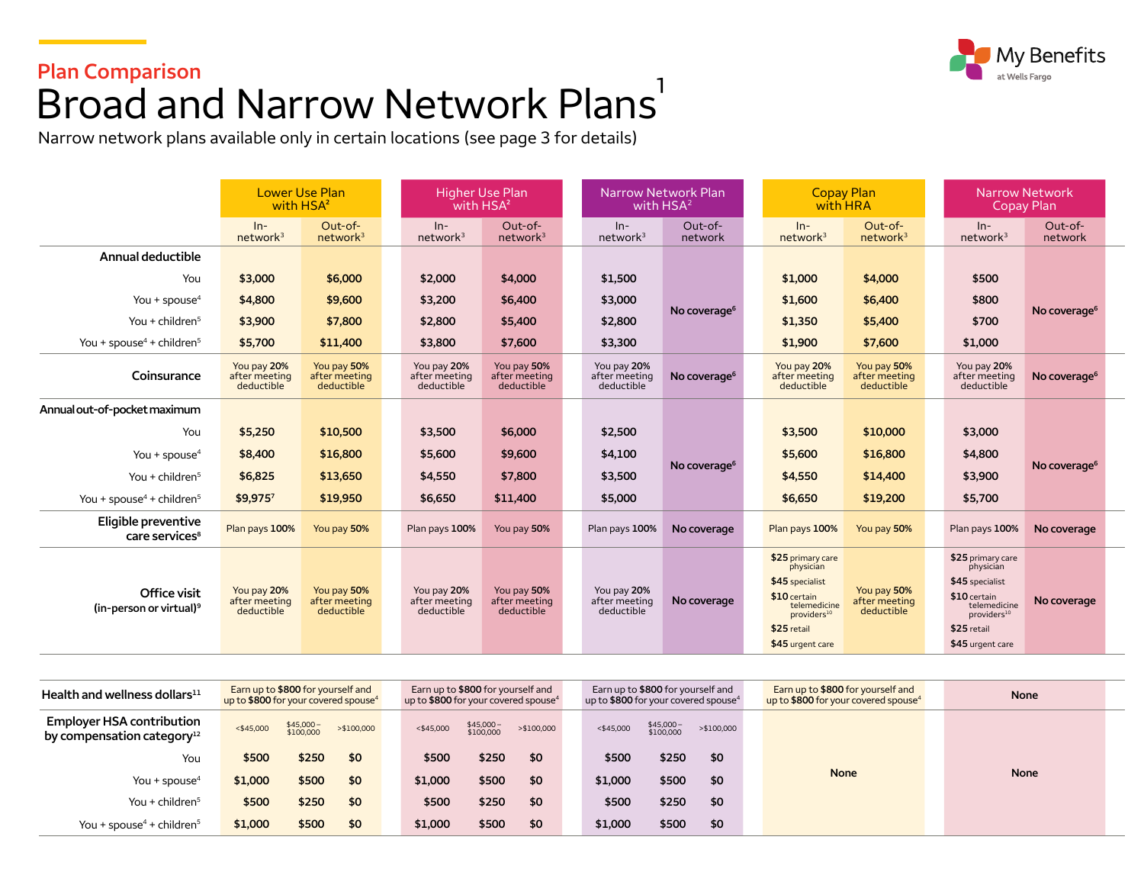# **Plan Comparison**  Broad and Narrow Network Plans<sup>1</sup>

Narrow network plans available only in certain locations (see page 3 for details)

|                                                     | <b>Lower Use Plan</b><br>with HSA <sup>2</sup> |                                            |  | <b>Higher Use Plan</b><br>with HSA <sup>2</sup> |                                            |  | Narrow Network Plan<br>with $HSA2$         |                          |  | <b>Copay Plan</b><br>with HRA                                                                                                                   |                                            |  | Narrow Network<br>Copay Plan                                                                                                                     |                          |
|-----------------------------------------------------|------------------------------------------------|--------------------------------------------|--|-------------------------------------------------|--------------------------------------------|--|--------------------------------------------|--------------------------|--|-------------------------------------------------------------------------------------------------------------------------------------------------|--------------------------------------------|--|--------------------------------------------------------------------------------------------------------------------------------------------------|--------------------------|
|                                                     | $ln-$<br>network <sup>3</sup>                  | $Out-of-$<br>network <sup>3</sup>          |  | $In-$<br>network <sup>3</sup>                   | $Out-of-$<br>network <sup>3</sup>          |  | $In-$<br>network <sup>3</sup>              | $Out-of-$<br>network     |  | $In-$<br>network <sup>3</sup>                                                                                                                   | $Out-of-$<br>network <sup>3</sup>          |  | $ln-$<br>network <sup>3</sup>                                                                                                                    | $Out-of-$<br>network     |
| Annual deductible                                   |                                                |                                            |  |                                                 |                                            |  |                                            |                          |  |                                                                                                                                                 |                                            |  |                                                                                                                                                  |                          |
| You                                                 | \$3,000                                        | \$6,000                                    |  | \$2,000                                         | \$4,000                                    |  | \$1,500                                    |                          |  | \$1,000                                                                                                                                         | \$4,000                                    |  | \$500                                                                                                                                            |                          |
| You + spouse $4$                                    | \$4,800                                        | \$9,600                                    |  | \$3,200                                         | \$6,400                                    |  | \$3,000                                    |                          |  | \$1,600                                                                                                                                         | \$6,400                                    |  | \$800                                                                                                                                            | No coverage <sup>6</sup> |
| You + children <sup>5</sup>                         | \$3,900                                        | \$7,800                                    |  | \$2,800                                         | \$5,400                                    |  | \$2,800                                    | No coverage <sup>6</sup> |  | \$1,350                                                                                                                                         | \$5,400                                    |  | \$700                                                                                                                                            |                          |
| You + spouse <sup>4</sup> + children <sup>5</sup>   | \$5,700                                        | \$11,400                                   |  | \$3,800                                         | \$7,600                                    |  | \$3,300                                    |                          |  | \$1,900                                                                                                                                         | \$7,600                                    |  | \$1,000                                                                                                                                          |                          |
| Coinsurance                                         | You pay 20%<br>after meeting<br>deductible     | You pay 50%<br>after meeting<br>deductible |  | You pay 20%<br>after meeting<br>deductible      | You pay 50%<br>after meeting<br>deductible |  | You pay 20%<br>after meeting<br>deductible | No coverage <sup>6</sup> |  | You pay 20%<br>after meeting<br>deductible                                                                                                      | You pay 50%<br>after meeting<br>deductible |  | You pay 20%<br>after meeting<br>deductible                                                                                                       | No coverage <sup>6</sup> |
| Annual out-of-pocket maximum                        |                                                |                                            |  |                                                 |                                            |  |                                            |                          |  |                                                                                                                                                 |                                            |  |                                                                                                                                                  |                          |
| You                                                 | \$5,250                                        | \$10,500                                   |  | \$3,500                                         | \$6,000                                    |  | \$2,500                                    |                          |  | \$3,500                                                                                                                                         | \$10,000                                   |  | \$3,000                                                                                                                                          |                          |
| You + spouse <sup>4</sup>                           | \$8,400                                        | \$16,800                                   |  | \$5,600                                         | \$9,600                                    |  | \$4,100                                    | No coverage <sup>6</sup> |  | \$5,600                                                                                                                                         | \$16,800                                   |  | \$4,800                                                                                                                                          |                          |
| You + children $5$                                  | \$6,825                                        | \$13,650                                   |  | \$4,550                                         | \$7,800                                    |  | \$3,500                                    |                          |  | \$4,550                                                                                                                                         | \$14,400                                   |  | \$3,900                                                                                                                                          | No coverage <sup>6</sup> |
| You + spouse <sup>4</sup> + children <sup>5</sup>   | \$9,9757                                       | \$19,950                                   |  | \$6,650                                         | \$11,400                                   |  | \$5,000                                    |                          |  | \$6,650                                                                                                                                         | \$19,200                                   |  | \$5,700                                                                                                                                          |                          |
| Eligible preventive<br>care services <sup>8</sup>   | Plan pays 100%                                 | You pay 50%                                |  | Plan pays 100%                                  | You pay 50%                                |  | Plan pays 100%                             | No coverage              |  | Plan pays 100%                                                                                                                                  | You pay 50%                                |  | Plan pays 100%                                                                                                                                   | No coverage              |
| Office visit<br>(in-person or virtual) <sup>9</sup> | You pay 20%<br>after meeting<br>deductible     | You pay 50%<br>after meeting<br>deductible |  | You pay 20%<br>after meeting<br>deductible      | You pay 50%<br>after meeting<br>deductible |  | You pay 20%<br>after meeting<br>deductible | No coverage              |  | \$25 primary care<br>physician<br>\$45 specialist<br>\$10 certain<br>telemedicine<br>providers <sup>10</sup><br>\$25 retail<br>\$45 urgent care | You pay 50%<br>after meeting<br>deductible |  | \$25 primary care<br>physician<br>\$45 specialist<br>$$10$ certain<br>telemedicine<br>providers <sup>10</sup><br>\$25 retail<br>\$45 urgent care | No coverage              |

| Health and wellness dollars $^{11}$                                        | Earn up to \$800 for yourself and<br>up to \$800 for your covered spouse <sup>4</sup><br>\$45,000-<br>\$100,000<br>> \$100,000<br>$<$ \$45,000<br>\$250<br>\$500<br>\$0<br>\$500<br>\$1,000<br>\$0 |       |     |              | Earn up to \$800 for yourself and | up to \$800 for your covered spouse <sup>4</sup> | Earn up to \$800 for yourself and<br>up to \$800 for your covered spouse <sup>4</sup> |                        |             |  | Earn up to \$800 for yourself and<br>up to \$800 for your covered spouse <sup>4</sup> | <b>None</b> |  |  |
|----------------------------------------------------------------------------|----------------------------------------------------------------------------------------------------------------------------------------------------------------------------------------------------|-------|-----|--------------|-----------------------------------|--------------------------------------------------|---------------------------------------------------------------------------------------|------------------------|-------------|--|---------------------------------------------------------------------------------------|-------------|--|--|
| <b>Employer HSA contribution</b><br>by compensation category <sup>12</sup> |                                                                                                                                                                                                    |       |     | $<$ \$45,000 | \$45,000-<br>\$100,000            | >\$100,000                                       | $<$ \$45,000                                                                          | \$45,000-<br>\$100,000 | > \$100,000 |  |                                                                                       |             |  |  |
| You                                                                        |                                                                                                                                                                                                    |       |     | \$500        | \$250                             | \$0                                              | \$500                                                                                 | \$250                  | \$0         |  |                                                                                       |             |  |  |
| You + spouse $4$                                                           |                                                                                                                                                                                                    |       |     | \$1,000      | \$500                             | \$0                                              | \$1,000                                                                               | \$500                  | \$0         |  | <b>None</b>                                                                           | <b>None</b> |  |  |
| You + children $5$                                                         | \$500                                                                                                                                                                                              | \$250 | \$0 | \$500        | \$250                             | \$0                                              | \$500                                                                                 | \$250                  | \$0         |  |                                                                                       |             |  |  |
| You + spouse <sup>4</sup> + children <sup>5</sup>                          | \$1,000                                                                                                                                                                                            | \$500 | \$0 | \$1,000      | \$500                             | \$0                                              | \$1,000                                                                               | \$500                  | \$0         |  |                                                                                       |             |  |  |

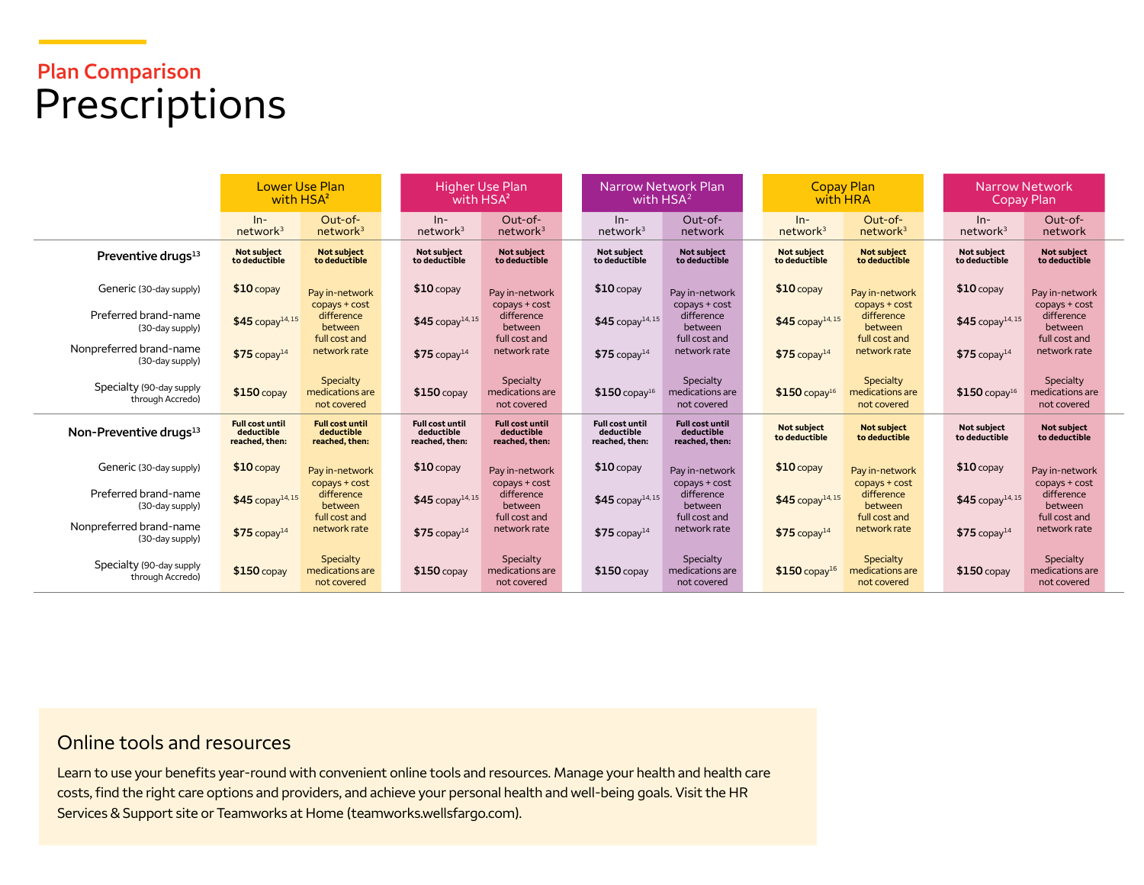# **Plan Comparison**  Prescriptions

|                                              | <b>Lower Use Plan</b><br>with HSA <sup>2</sup>         |                                                        | Higher Use Plan<br>with HSA <sup>2</sup>               |                                                        |  | <b>Narrow Network Plan</b><br>with HSA <sup>2</sup>    |                                                        |  | <b>Copay Plan</b><br>with HRA       |                                             | <b>Narrow Network</b><br>Copay Plan |                                             |
|----------------------------------------------|--------------------------------------------------------|--------------------------------------------------------|--------------------------------------------------------|--------------------------------------------------------|--|--------------------------------------------------------|--------------------------------------------------------|--|-------------------------------------|---------------------------------------------|-------------------------------------|---------------------------------------------|
|                                              | $In-$<br>network <sup>3</sup>                          | Out-of-<br>network <sup>3</sup>                        | $In-$<br>network <sup>3</sup>                          | Out-of-<br>network <sup>3</sup>                        |  | $In-$<br>network <sup>3</sup>                          | Out-of-<br>network                                     |  | $In-$<br>network <sup>3</sup>       | Out-of-<br>network <sup>3</sup>             | $ln-$<br>network <sup>3</sup>       | Out-of-<br>network                          |
| Preventive drugs <sup>13</sup>               | <b>Not subject</b><br>to deductible                    | <b>Not subject</b><br>to deductible                    | <b>Not subiect</b><br>to deductible                    | <b>Not subject</b><br>to deductible                    |  | <b>Not subiect</b><br>to deductible                    | <b>Not subiect</b><br>to deductible                    |  | <b>Not subject</b><br>to deductible | <b>Not subject</b><br>to deductible         | <b>Not subject</b><br>to deductible | <b>Not subject</b><br>to deductible         |
| Generic (30-day supply)                      | $$10$ copay                                            | Pay in-network                                         | $$10$ copay                                            | Pay in-network                                         |  | $$10$ copay                                            | Pay in-network                                         |  | $$10$ copay                         | Pay in-network                              | $$10$ copay                         | Pay in-network                              |
| Preferred brand-name<br>(30-day supply)      | $$45$ copay <sup>14, 15</sup>                          | copays + cost<br>difference<br>between                 | $$45$ copay <sup>14,15</sup>                           | copays + cost<br>difference<br>between                 |  | $$45$ copay <sup>14, 15</sup>                          | copays + cost<br>difference<br>between                 |  | $$45$ copay <sup>14, 15</sup>       | copays + cost<br>difference<br>between      | $$45$ copay <sup>14, 15</sup>       | copays + cost<br>difference<br>between      |
| Nonpreferred brand-name<br>(30-day supply)   | $$75$ copay <sup>14</sup>                              | full cost and<br>network rate                          | $$75$ copay <sup>14</sup>                              | full cost and<br>network rate                          |  | $$75$ copay <sup>14</sup>                              | full cost and<br>network rate                          |  | $$75$ copay <sup>14</sup>           | full cost and<br>network rate               | $$75$ copay <sup>14</sup>           | full cost and<br>network rate               |
| Specialty (90-day supply<br>through Accredo) | $$150$ copay                                           | Specialty<br>medications are<br>not covered            | $$150$ copay                                           | Specialty<br>medications are<br>not covered            |  | $$150$ copay <sup>16</sup>                             | Specialty<br>medications are<br>not covered            |  | $$150$ copay <sup>16</sup>          | Specialty<br>medications are<br>not covered | $$150$ copay <sup>16</sup>          | Specialty<br>medications are<br>not covered |
| Non-Preventive drugs <sup>13</sup>           | <b>Full cost until</b><br>deductible<br>reached, then: | <b>Full cost until</b><br>deductible<br>reached, then: | <b>Full cost until</b><br>deductible<br>reached, then: | <b>Full cost until</b><br>deductible<br>reached, then: |  | <b>Full cost until</b><br>deductible<br>reached, then: | <b>Full cost until</b><br>deductible<br>reached, then: |  | <b>Not subject</b><br>to deductible | <b>Not subject</b><br>to deductible         | <b>Not subject</b><br>to deductible | <b>Not subject</b><br>to deductible         |
| Generic (30-day supply)                      | $$10$ copay                                            | Pay in-network                                         | $$10$ copay                                            | Pay in-network                                         |  | $$10$ copay                                            | Pay in-network                                         |  | $$10$ copay                         | Pay in-network                              | $$10$ copay                         | Pay in-network                              |
| Preferred brand-name<br>(30-day supply)      | $$45$ copay <sup>14, 15</sup>                          | copays + cost<br>difference<br>between                 | $$45$ copay <sup>14, 15</sup>                          | copays + cost<br>difference<br>between                 |  | \$45 copay <sup>14, 15</sup>                           | copays + cost<br>difference<br>between                 |  | $$45$ copay <sup>14, 15</sup>       | copays + cost<br>difference<br>between      | $$45$ copay <sup>14, 15</sup>       | copays + cost<br>difference<br>between      |
| Nonpreferred brand-name<br>(30-day supply)   | $$75$ copay <sup>14</sup>                              | full cost and<br>network rate                          | $$75$ copay <sup>14</sup>                              | full cost and<br>network rate                          |  | $$75$ copay <sup>14</sup>                              | full cost and<br>network rate                          |  | $$75$ copay <sup>14</sup>           | full cost and<br>network rate               | $$75$ copay <sup>14</sup>           | full cost and<br>network rate               |
| Specialty (90-day supply<br>through Accredo) | $$150$ copay                                           | Specialty<br>medications are<br>not covered            | $$150$ copay                                           | Specialty<br>medications are<br>not covered            |  | $$150$ copay                                           | Specialty<br>medications are<br>not covered            |  | $$150$ copay <sup>16</sup>          | Specialty<br>medications are<br>not covered | $$150$ copay                        | Specialty<br>medications are<br>not covered |

## Online tools and resources

Learn to use your benefits year-round with convenient online tools and resources. Manage your health and health care costs, find the right care options and providers, and achieve your personal health and well-being goals. Visit the HR Services & Support site or Teamworks at Home ([teamworks.wellsfargo.com\)](http://www.teamworks.wellsfargo.com).